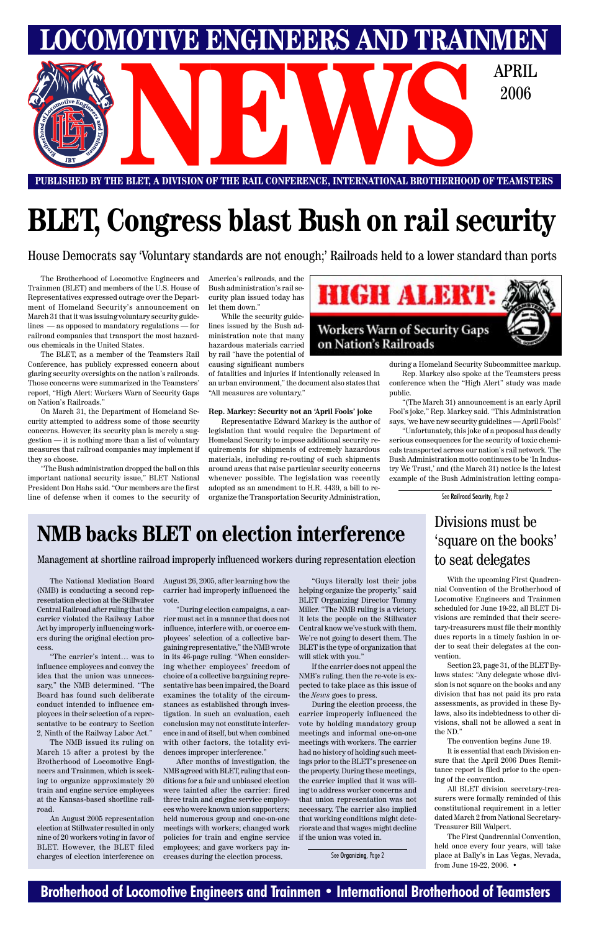### **Brotherhood of Locomotive Engineers and Trainmen • International Brotherhood of Teamsters**



**PUBLISHED BY THE BLET, A DIVISION OF THE RAIL CONFERENCE, INTERNATIONAL BROTHERHOOD OF TEAMSTERS**

# **BLET, Congress blast Bush on rail security**

House Democrats say 'Voluntary standards are not enough;' Railroads held to a lower standard than ports

The Brotherhood of Locomotive Engineers and Trainmen (BLET) and members of the U.S. House of Representatives expressed outrage over the Department of Homeland Security's announcement on March 31 that it was issuing voluntary security guidelines — as opposed to mandatory regulations — for railroad companies that transport the most hazardous chemicals in the United States.

The BLET, as a member of the Teamsters Rail Conference, has publicly expressed concern about glaring security oversights on the nation's railroads. Those concerns were summarized in the Teamsters' report, "High Alert: Workers Warn of Security Gaps on Nation's Railroads."

On March 31, the Department of Homeland Security attempted to address some of those security concerns. However, its security plan is merely a suggestion — it is nothing more than a list of voluntary measures that railroad companies may implement if they so choose.

"The Bush administration dropped the ball on this important national security issue," BLET National President Don Hahs said. "Our members are the first line of defense when it comes to the security of

America's railroads, and the Bush administration's rail security plan issued today has let them down."

While the security guidelines issued by the Bush administration note that many hazardous materials carried by rail "have the potential of causing significant numbers

of fatalities and injuries if intentionally released in an urban environment," the document also states that "All measures are voluntary."

#### **Rep. Markey: Security not an 'April Fools' joke**

Representative Edward Markey is the author of legislation that would require the Department of Homeland Security to impose additional security requirements for shipments of extremely hazardous materials, including re-routing of such shipments around areas that raise particular security concerns whenever possible. The legislation was recently adopted as an amendment to H.R. 4439, a bill to reorganize the Transportation Security Administration,



during a Homeland Security Subcommittee markup.

Rep. Markey also spoke at the Teamsters press conference when the "High Alert" study was made public.

"(The March 31) announcement is an early April Fool's joke," Rep. Markey said. "This Administration says, 'we have new security guidelines — April Fools!'

"Unfortunately, this joke of a proposal has deadly serious consequences for the security of toxic chemicals transported across our nation's rail network. The Bush Administration motto continues to be 'In Industry We Trust,' and (the March 31) notice is the latest example of the Bush Administration letting compa-

> With the upcoming First Quadrennial Convention of the Brotherhood of Locomotive Engineers and Trainmen scheduled for June 19-22, all BLET Divisions are reminded that their secretary-treasurers must file their monthly dues reports in a timely fashion in order to seat their delegates at the convention.

Section 23, page 31, of the BLET Bylaws states: "Any delegate whose division is not square on the books and any division that has not paid its pro rata assessments, as provided in these Bylaws, also its indebtedness to other divisions, shall not be allowed a seat in the ND."

The convention begins June 19. It is essential that each Division ensure that the April 2006 Dues Remittance report is filed prior to the opening of the convention.

All BLET division secretary-treasurers were formally reminded of this constitutional requirement in a letter dated March 2 from National Secretary-Treasurer Bill Walpert.

The First Quadrennial Convention, held once every four years, will take place at Bally's in Las Vegas, Nevada, from June 19-22, 2006. •

### Divisions must be 'square on the books' to seat delegates

### **NMB backs BLET on election interference**

Management at shortline railroad improperly influenced workers during representation election

The National Mediation Board (NMB) is conducting a second representation election at the Stillwater Central Railroad after ruling that the carrier violated the Railway Labor Act by improperly influencing workers during the original election process.

"The carrier's intent… was to influence employees and convey the idea that the union was unnecessary," the NMB determined. "The Board has found such deliberate conduct intended to influence employees in their selection of a representative to be contrary to Section 2, Ninth of the Railway Labor Act." The NMB issued its ruling on March 15 after a protest by the Brotherhood of Locomotive Engineers and Trainmen, which is seeking to organize approximately 20 train and engine service employees at the Kansas-based shortline railroad.

An August 2005 representation election at Stillwater resulted in only nine of 20 workers voting in favor of BLET. However, the BLET filed charges of election interference on August 26, 2005, after learning how the carrier had improperly influenced the vote.

"During election campaigns, a carrier must act in a manner that does not influence, interfere with, or coerce employees' selection of a collective bargaining representative," the NMB wrote in its 46-page ruling. "When considering whether employees' freedom of choice of a collective bargaining representative has been impaired, the Board examines the totality of the circumstances as established through investigation. In such an evaluation, each conclusion may not constitute interference in and of itself, but when combined with other factors, the totality evidences improper interference." After months of investigation, the NMB agreed with BLET, ruling that conditions for a fair and unbiased election were tainted after the carrier: fired three train and engine service employees who were known union supporters; held numerous group and one-on-one meetings with workers; changed work policies for train and engine service employees; and gave workers pay increases during the election process.

"Guys literally lost their jobs helping organize the property," said BLET Organizing Director Tommy Miller. "The NMB ruling is a victory. It lets the people on the Stillwater Central know we've stuck with them. We're not going to desert them. The BLET is the type of organization that will stick with you."

If the carrier does not appeal the NMB's ruling, then the re-vote is expected to take place as this issue of the *News* goes to press. During the election process, the carrier improperly influenced the vote by holding mandatory group meetings and informal one-on-one meetings with workers. The carrier had no history of holding such meetings prior to the BLET's presence on the property. During these meetings, the carrier implied that it was willing to address worker concerns and that union representation was not necessary. The carrier also implied that working conditions might deteriorate and that wages might decline if the union was voted in.

See Railroad Security, Page 2

See Organizing, Page 2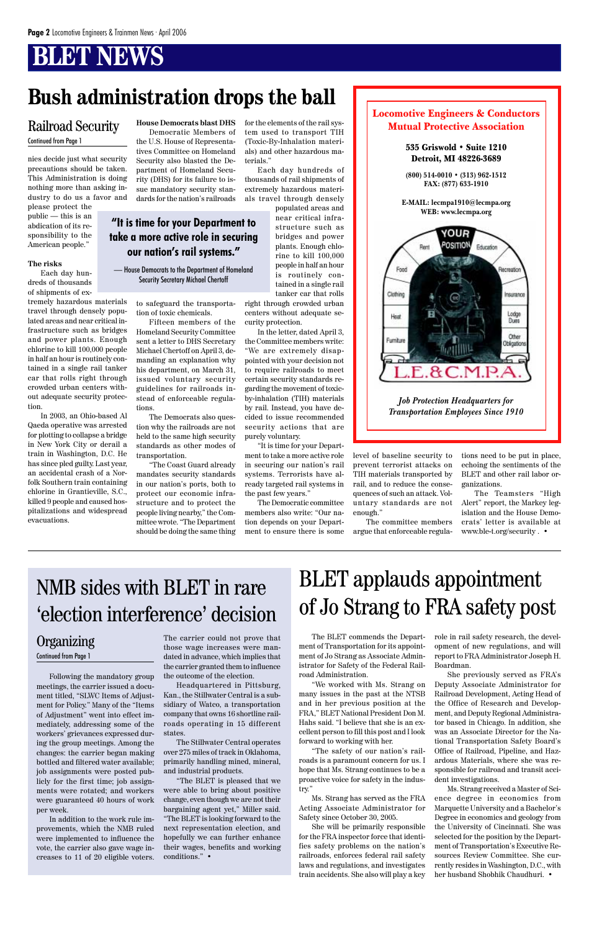## **BLET NEWS**

#### Locomotive Engineers & Conductors Mutual Protective Association

#### 535 Griswold • Suite 1210 Detroit, MI 48226-3689 **(800) 514-0010 • (313) 962-1512 FAX: (877) 633-1910 E-MAIL: lecmpa1910@lecmpa.org WEB: www.lecmpa.org** YOUR POSITION Rent Education Food Recreation Clothing Insurance Lodge Heat Dues Other Fumiture Obligations  $E.8C.M.P.$ *Job Protection Headquarters for Transportation Employees Since 1910*

nies decide just what security precautions should be taken. This Administration is doing nothing more than asking industry to do us a favor and

please protect the public — this is an abdication of its responsibility to the American people."

#### **The risks**

Each day hundreds of thousands of shipments of ex-

tremely hazardous materials travel through densely populated areas and near critical infrastructure such as bridges and power plants. Enough chlorine to kill 100,000 people in half an hour is routinely contained in a single rail tanker car that rolls right through crowded urban centers without adequate security protection.

In 2003, an Ohio-based Al Qaeda operative was arrested for plotting to collapse a bridge in New York City or derail a train in Washington, D.C. He has since pled guilty. Last year, an accidental crash of a Norfolk Southern train containing chlorine in Grantieville, S.C., killed 9 people and caused hospitalizations and widespread evacuations.

**House Democrats blast DHS** Democratic Members of the U.S. House of Representatives Committee on Homeland Security also blasted the Department of Homeland Security (DHS) for its failure to issue mandatory security standards for the nation's railroads

to safeguard the transportation of toxic chemicals.

Fifteen members of the Homeland Security Committee sent a letter to DHS Secretary Michael Chertoff on April 3, demanding an explanation why his department, on March 31, issued voluntary security guidelines for railroads instead of enforceable regula-

tions.

The Democrats also question why the railroads are not held to the same high security standards as other modes of

transportation.

### **Organizing**

"The Coast Guard already mandates security standards in our nation's ports, both to protect our economic infrastructure and to protect the people living nearby," the Committee wrote. "The Department should be doing the same thing

Following the mandatory group meetings, the carrier issued a document titled, "SLWC Items of Adjustment for Policy." Many of the "Items of Adjustment" went into effect immediately, addressing some of the workers' grievances expressed during the group meetings. Among the changes: the carrier began making bottled and filtered water available; job assignments were posted publicly for the first time; job assignments were rotated; and workers were guaranteed 40 hours of work per week. In addition to the work rule improvements, which the NMB ruled were implemented to influence the vote, the carrier also gave wage increases to 11 of 20 eligible voters.

The carrier could not prove that those wage increases were mandated in advance, which implies that the carrier granted them to influence the outcome of the election.

Headquartered in Pittsburg, Kan., the Stillwater Central is a subsidiary of Watco, a transportation company that owns 16 shortline railroads operating in 15 different states.

The Stillwater Central operates over 275 miles of track in Oklahoma, primarily handling mined, mineral, and industrial products.

"The BLET is pleased that we were able to bring about positive change, even though we are not their bargaining agent yet," Miller said. "The BLET is looking forward to the next representation election, and hopefully we can further enhance their wages, benefits and working conditions." •

for the elements of the rail system used to transport TIH (Toxic-By-Inhalation materials) and other hazardous materials."

Each day hundreds of thousands of rail shipments of extremely hazardous materials travel through densely

populated areas and near critical infrastructure such as bridges and power plants. Enough chlorine to kill 100,000 people in half an hour is routinely contained in a single rail tanker car that rolls

right through crowded urban centers without adequate security protection.

In the letter, dated April 3, the Committee members write: "We are extremely disappointed with your decision not to require railroads to meet certain security standards regarding the movement of toxicby-inhalation (TIH) materials by rail. Instead, you have decided to issue recommended security actions that are purely voluntary.

"It is time for your Department to take a more active role in securing our nation's rail systems. Terrorists have already targeted rail systems in the past few years."

The Democratic committee members also write: "Our nation depends on your Department to ensure there is some

> The BLET commends the Department of Transportation for its appointment of Jo Strang as Associate Administrator for Safety of the Federal Railroad Administration.

"We worked with Ms. Strang on many issues in the past at the NTSB and in her previous position at the FRA," BLET National President Don M. Hahs said. "I believe that she is an excellent person to fill this post and I look forward to working with her.

"The safety of our nation's railroads is a paramount concern for us. I hope that Ms. Strang continues to be a proactive voice for safety in the industry."

Ms. Strang has served as the FRA Acting Associate Administrator for Safety since October 30, 2005.

She will be primarily responsible for the FRA inspector force that identifies safety problems on the nation's railroads, enforces federal rail safety laws and regulations, and investigates train accidents. She also will play a key

#### Railroad Security Continued from Page 1

### **Bush administration drops the ball**

level of baseline security to prevent terrorist attacks on TIH materials transported by rail, and to reduce the consequences of such an attack. Voluntary standards are not enough."

The committee members argue that enforceable regula-

Continued from Page 1

tions need to be put in place, echoing the sentiments of the BLET and other rail labor organizations.

The Teamsters "High Alert" report, the Markey legislation and the House Democrats' letter is available at www.ble-t.org/security . •

### NMB sides with BLET in rare 'election interference' decision

role in rail safety research, the development of new regulations, and will report to FRA Administrator Joseph H. Boardman.

She previously served as FRA's Deputy Associate Administrator for Railroad Development, Acting Head of the Office of Research and Development, and Deputy Regional Administrator based in Chicago. In addition, she was an Associate Director for the National Transportation Safety Board's Office of Railroad, Pipeline, and Hazardous Materials, where she was responsible for railroad and transit accident investigations. Ms. Strang received a Master of Science degree in economics from Marquette University and a Bachelor's Degree in economics and geology from the University of Cincinnati. She was selected for the position by the Department of Transportation's Executive Resources Review Committee. She currently resides in Washington, D.C., with her husband Shobhik Chaudhuri. •

# BLET applauds appointment of Jo Strang to FRA safety post

**"It is time for your Department to take a more active role in securing our nation's rail systems."**

— House Democrats to the Department of Homeland Security Secretary Michael Chertoff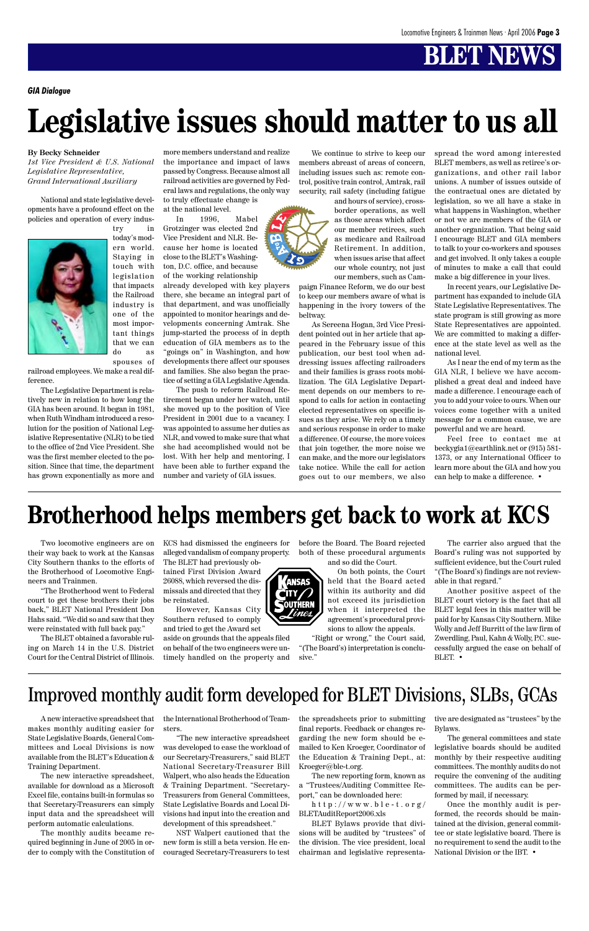# **BLET NEWS**

#### **By Becky Schneider**

*1st Vice President & U.S. National Legislative Representative, Grand International Auxiliary*

National and state legislative developments have a profound effect on the policies and operation of every indus-



try in today's modern world. Staying in touch with legislation that impacts the Railroad industry is one of the most important things that we can do as

spouses of railroad employees. We make a real difference.

The Legislative Department is relatively new in relation to how long the GIA has been around. It began in 1981, when Ruth Windham introduced a resolution for the position of National Legislative Representative (NLR) to be tied to the office of 2nd Vice President. She was the first member elected to the position. Since that time, the department has grown exponentially as more and more members understand and realize the importance and impact of laws passed by Congress. Because almost all railroad activities are governed by Federal laws and regulations, the only way to truly effectuate change is

at the national level.

In 1996, Mabel Grotzinger was elected 2nd Vice President and NLR. Because her home is located close to the BLET's Washington, D.C. office, and because of the working relationship

already developed with key players there, she became an integral part of that department, and was unofficially appointed to monitor hearings and developments concerning Amtrak. She jump-started the process of in depth education of GIA members as to the "goings on" in Washington, and how developments there affect our spouses and families. She also began the practice of setting a GIA Legislative Agenda.

The push to reform Railroad Retirement began under her watch, until she moved up to the position of Vice President in 2001 due to a vacancy. I was appointed to assume her duties as NLR, and vowed to make sure that what she had accomplished would not be lost. With her help and mentoring, I have been able to further expand the number and variety of GIA issues.

We continue to strive to keep our members abreast of areas of concern, including issues such as: remote control, positive train control, Amtrak, rail security, rail safety (including fatigue

> and hours of service), crossborder operations, as well as those areas which affect our member retirees, such as medicare and Railroad Retirement. In addition, when issues arise that affect our whole country, not just our members, such as Cam-

paign Finance Reform, we do our best to keep our members aware of what is happening in the ivory towers of the beltway.

As Sereena Hogan, 3rd Vice President pointed out in her article that appeared in the February issue of this publication, our best tool when addressing issues affecting railroaders and their families is grass roots mobilization. The GIA Legislative Department depends on our members to respond to calls for action in contacting elected representatives on specific issues as they arise. We rely on a timely and serious response in order to make a difference. Of course, the more voices that join together, the more noise we can make, and the more our legislators take notice. While the call for action goes out to our members, we also

spread the word among interested BLET members, as well as retiree's organizations, and other rail labor unions. A number of issues outside of the contractual ones are dictated by legislation, so we all have a stake in what happens in Washington, whether or not we are members of the GIA or another organization. That being said I encourage BLET and GIA members to talk to your co-workers and spouses and get involved. It only takes a couple of minutes to make a call that could make a big difference in your lives.

In recent years, our Legislative Department has expanded to include GIA State Legislative Representatives. The state program is still growing as more State Representatives are appointed. We are committed to making a difference at the state level as well as the national level.

As I near the end of my term as the GIA NLR, I believe we have accomplished a great deal and indeed have made a difference. I encourage each of you to add your voice to ours. When our voices come together with a united message for a common cause, we are powerful and we are heard.

Feel free to contact me at beckygia1@earthlink.net or (915) 581- 1373, or any International Officer to learn more about the GIA and how you can help to make a difference. •

# **Legislative issues should matter to us all**

*GIA Dialogue*

Two locomotive engineers are on their way back to work at the Kansas City Southern thanks to the efforts of the Brotherhood of Locomotive Engineers and Trainmen.

"The Brotherhood went to Federal court to get these brothers their jobs back," BLET National President Don Hahs said. "We did so and saw that they were reinstated with full back pay."

The BLET obtained a favorable ruling on March 14 in the U.S. District Court for the Central District of Illinois.

A new interactive spreadsheet that makes monthly auditing easier for State Legislative Boards, General Committees and Local Divisions is now available from the BLET's Education & Training Department.

The new interactive spreadsheet, available for download as a Microsoft Excel file, contains built-in formulas so that Secretary-Treasurers can simply input data and the spreadsheet will perform automatic calculations.

The monthly audits became required beginning in June of 2005 in order to comply with the Constitution of KCS had dismissed the engineers for alleged vandalism of company property. The BLET had previously ob-

tained First Division Award 26088, which reversed the dismissals and directed that they be reinstated.

However, Kansas City Southern refused to comply and tried to get the Award set

aside on grounds that the appeals filed on behalf of the two engineers were untimely handled on the property and before the Board. The Board rejected both of these procedural arguments and so did the Court.

> On both points, the Court held that the Board acted within its authority and did not exceed its jurisdiction when it interpreted the agreement's procedural provisions to allow the appeals.

"Right or wrong," the Court said, "(The Board's) interpretation is conclusive."

The carrier also argued that the Board's ruling was not supported by sufficient evidence, but the Court ruled "(The Board's) findings are not reviewable in that regard."

Another positive aspect of the BLET court victory is the fact that all BLET legal fees in this matter will be paid for by Kansas City Southern. Mike Wolly and Jeff Burritt of the law firm of Zwerdling, Paul, Kahn & Wolly, P.C. successfully argued the case on behalf of BLET. •



the International Brotherhood of Teamsters.

"The new interactive spreadsheet was developed to ease the workload of our Secretary-Treasurers," said BLET National Secretary-Treasurer Bill Walpert, who also heads the Education & Training Department. "Secretary-Treasurers from General Committees, State Legislative Boards and Local Divisions had input into the creation and development of this spreadsheet."

NST Walpert cautioned that the new form is still a beta version. He encouraged Secretary-Treasurers to test the spreadsheets prior to submitting final reports. Feedback or changes regarding the new form should be emailed to Ken Kroeger, Coordinator of the Education & Training Dept., at: Kroeger@ble-t.org.

The new reporting form, known as a "Trustees/Auditing Committee Report," can be downloaded here:

http://www.ble-t.org/ BLETAuditReport2006.xls

BLET Bylaws provide that divisions will be audited by "trustees" of the division. The vice president, local chairman and legislative representative are designated as "trustees" by the Bylaws.

The general committees and state legislative boards should be audited monthly by their respective auditing committees. The monthly audits do not require the convening of the auditing committees. The audits can be performed by mail, if necessary.

Once the monthly audit is performed, the records should be maintained at the division, general committee or state legislative board. There is no requirement to send the audit to the National Division or the IBT. •

### **Brotherhood helps members get back to work at KCS**

### Improved monthly audit form developed for BLET Divisions, SLBs, GCAs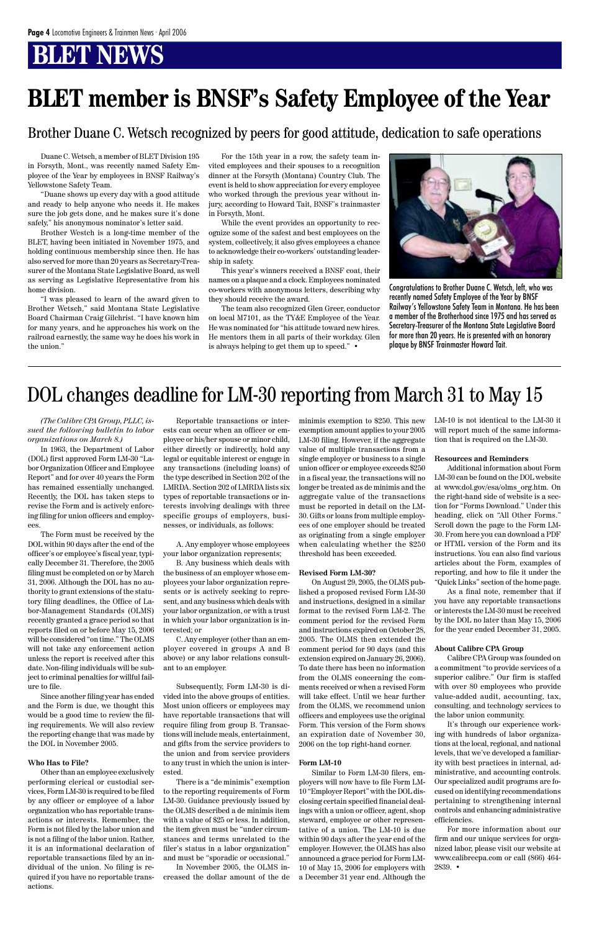## **BT NEWS**

*(The Calibre CPA Group, PLLC, issued the following bulletin to labor organizations on March 8.)*

In 1963, the Department of Labor (DOL) first approved Form LM-30 "Labor Organization Officer and Employee Report" and for over 40 years the Form has remained essentially unchanged. Recently, the DOL has taken steps to revise the Form and is actively enforcing filing for union officers and employees.

The Form must be received by the DOL within 90 days after the end of the officer's or employee's fiscal year, typically December 31. Therefore, the 2005 filing must be completed on or by March 31, 2006. Although the DOL has no authority to grant extensions of the statutory filing deadlines, the Office of Labor-Management Standards (OLMS) recently granted a grace period so that reports filed on or before May 15, 2006 will be considered "on time." The OLMS will not take any enforcement action unless the report is received after this date. Non-filing individuals will be subject to criminal penalties for willful fail-

ure to file.

Since another filing year has ended and the Form is due, we thought this would be a good time to review the filing requirements. We will also review the reporting change that was made by the DOL in November 2005.

#### **Who Has to File?**

Other than an employee exclusively performing clerical or custodial services, Form LM-30 is required to be filed by any officer or employee of a labor organization who has reportable transactions or interests. Remember, the Form is not filed by the labor union and is not a filing of the labor union. Rather, it is an informational declaration of reportable transactions filed by an individual of the union. No filing is required if you have no reportable transactions.

Reportable transactions or interests can occur when an officer or employee or his/her spouse or minor child, either directly or indirectly, hold any legal or equitable interest or engage in any transactions (including loans) of the type described in Section 202 of the LMRDA. Section 202 of LMRDA lists six types of reportable transactions or interests involving dealings with three specific groups of employers, businesses, or individuals, as follows:

A. Any employer whose employees your labor organization represents;

B. Any business which deals with the business of an employer whose employees your labor organization represents or is actively seeking to represent, and any business which deals with your labor organization, or with a trust in which your labor organization is interested; or

C. Any employer (other than an employer covered in groups A and B above) or any labor relations consultant to an employer.

Subsequently, Form LM-30 is divided into the above groups of entities. Most union officers or employees may have reportable transactions that will require filing from group B. Transactions will include meals, entertainment, and gifts from the service providers to the union and from service providers to any trust in which the union is interested. There is a "de minimis" exemption to the reporting requirements of Form LM-30. Guidance previously issued by the OLMS described a de minimis item with a value of \$25 or less. In addition, the item given must be "under circumstances and terms unrelated to the filer's status in a labor organization" and must be "sporadic or occasional."

In November 2005, the OLMS increased the dollar amount of the de

minimis exemption to \$250. This new exemption amount applies to your 2005 LM-30 filing. However, if the aggregate value of multiple transactions from a single employer or business to a single union officer or employee exceeds \$250 in a fiscal year, the transactions will no longer be treated as de minimis and the aggregate value of the transactions must be reported in detail on the LM-30. Gifts or loans from multiple employees of one employer should be treated as originating from a single employer when calculating whether the \$250 threshold has been exceeded.

#### **Revised Form LM-30?**

On August 29, 2005, the OLMS published a proposed revised Form LM-30 and instructions, designed in a similar format to the revised Form LM-2. The comment period for the revised Form and instructions expired on October 28, 2005. The OLMS then extended the comment period for 90 days (and this extension expired on January 26, 2006). To date there has been no information from the OLMS concerning the comments received or when a revised Form will take effect. Until we hear further from the OLMS, we recommend union officers and employees use the original Form. This version of the Form shows an expiration date of November 30, 2006 on the top right-hand corner.

#### **Form LM-10**

Similar to Form LM-30 filers, employers will now have to file Form LM-10 "Employer Report" with the DOL disclosing certain specified financial dealings with a union or officer, agent, shop steward, employee or other representative of a union. The LM-10 is due within 90 days after the year end of the employer. However, the OLMS has also announced a grace period for Form LM-10 of May 15, 2006 for employers with a December 31 year end. Although the LM-10 is not identical to the LM-30 it will report much of the same information that is required on the LM-30.

#### **Resources and Reminders**

Additional information about Form LM-30 can be found on the DOL website at www.dol.gov/esa/olms\_org.htm. On the right-hand side of website is a section for "Forms Download." Under this heading, click on "All Other Forms." Scroll down the page to the Form LM-30. From here you can download a PDF or HTML version of the Form and its instructions. You can also find various articles about the Form, examples of reporting, and how to file it under the "Quick Links" section of the home page.

As a final note, remember that if you have any reportable transactions or interests the LM-30 must be received by the DOL no later than May 15, 2006 for the year ended December 31, 2005.

#### **About Calibre CPA Group**

Calibre CPA Group was founded on a commitment "to provide services of a superior calibre." Our firm is staffed with over 80 employees who provide value-added audit, accounting, tax, consulting, and technology services to the labor union community. It's through our experience working with hundreds of labor organizations at the local, regional, and national levels, that we've developed a familiarity with best practices in internal, administrative, and accounting controls. Our specialized audit programs are focused on identifying recommendations pertaining to strengthening internal controls and enhancing administrative efficiencies. For more information about our firm and our unique services for organized labor, please visit our website at www.calibrecpa.com or call (866) 464- 2839. •

Duane C. Wetsch, a member of BLET Division 195 in Forsyth, Mont., was recently named Safety Employee of the Year by employees in BNSF Railway's Yellowstone Safety Team.

"Duane shows up every day with a good attitude and ready to help anyone who needs it. He makes sure the job gets done, and he makes sure it's done safely," his anonymous nominator's letter said.

Brother Westch is a long-time member of the BLET, having been initiated in November 1975, and holding continuous membership since then. He has also served for more than 20 years as Secretary-Treasurer of the Montana State Legislative Board, as well as serving as Legislative Representative from his home division.

"I was pleased to learn of the award given to Brother Wetsch," said Montana State Legislative Board Chairman Craig Gilchrist. "I have known him for many years, and he approaches his work on the railroad earnestly, the same way he does his work in the union."

For the 15th year in a row, the safety team invited employees and their spouses to a recognition dinner at the Forsyth (Montana) Country Club. The event is held to show appreciation for every employee who worked through the previous year without injury, according to Howard Tait, BNSF's trainmaster in Forsyth, Mont.

While the event provides an opportunity to recognize some of the safest and best employees on the system, collectively, it also gives employees a chance to acknowledge their co-workers' outstanding leadership in safety.

This year's winners received a BNSF coat, their names on a plaque and a clock. Employees nominated co-workers with anonymous letters, describing why they should receive the award.

The team also recognized Glen Greer, conductor on local M7101, as the TY&E Employee of the Year. He was nominated for "his attitude toward new hires. He mentors them in all parts of their workday. Glen is always helping to get them up to speed." •

## **BLET member is BNSF's Safety Employee of the Year**



Congratulations to Brother Duane C. Wetsch, left, who was recently named Safety Employee of the Year by BNSF Railway's Yellowstone Safety Team in Montana. He has been a member of the Brotherhood since 1975 and has served as Secretary-Treasurer of the Montana State Legislative Board for more than 20 years. He is presented with an honorary plaque by BNSF Trainmaster Howard Tait.

### Brother Duane C. Wetsch recognized by peers for good attitude, dedication to safe operations

### DOL changes deadline for LM-30 reporting from March 31 to May 15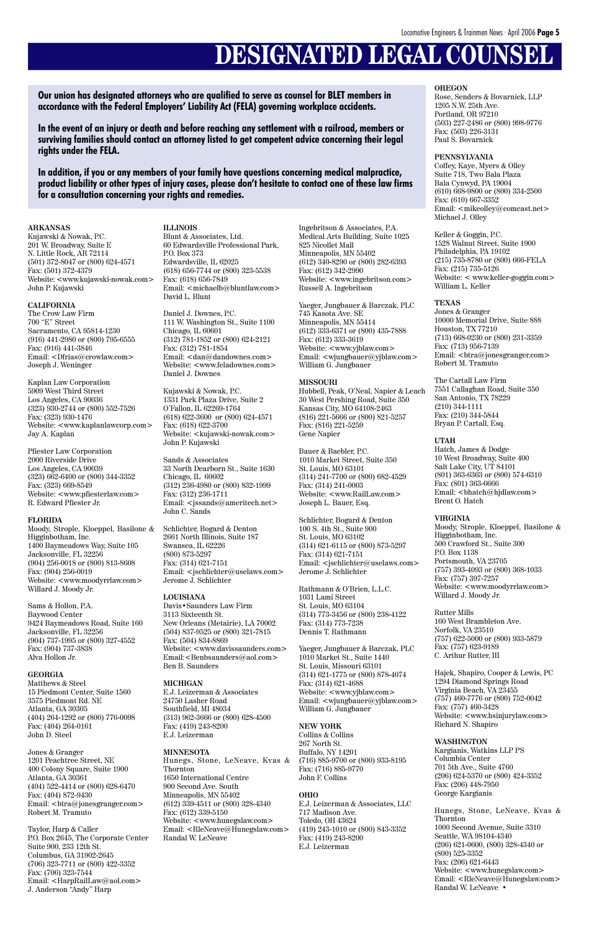# **DESIGNATED LEGAL COUNSEL**

#### **ARKANSAS**

Kujawski & Nowak, P.C. 201 W. Broadway, Suite E N. Little Rock, AR 72114 (501) 372-8047 or (800) 624-4571 Fax: (501) 372-4379 Website: <www.kujawski-nowak.com> John P. Kujawski

#### **CALIFORNIA**

The Crow Law Firm 700 "E" Street Sacramento, CA 95814-1230 (916) 441-2980 or (800) 795-6555 Fax: (916) 441-3846 Email: <Dfrias@crowlaw.com> Joseph J. Weninger

Kaplan Law Corporation 5909 West Third Street Los Angeles, CA 90036 (323) 930-2744 or (800) 552-7526 Fax: (323) 930-1476 Website: <www.kaplanlawcorp.com> Jay A. Kaplan

Pfiester Law Corporation 2000 Riverside Drive Los Angeles, CA 90039 (323) 662-6400 or (800) 344-3352 Fax: (323) 669-8549 Website: <www.pfiesterlaw.com> R. Edward Pfiester Jr.

#### **FLORIDA**

Moody, Strople, Kloeppel, Basilone & Higginbotham, Inc. 1400 Baymeadows Way, Suite 105 Jacksonville, FL 32256 (904) 256-0018 or (800) 813-8608 Fax: (904) 256-0019 Website: <www.moodyrrlaw.com> Willard J. Moody Jr.

Sams & Hollon, P.A. Baywood Center 9424 Baymeadows Road, Suite 160 Jacksonville, FL 32256 (904) 737-1995 or (800) 327-4552 Fax: (904) 737-3838 Alva Hollon Jr.

#### **GEORGIA**

Matthews & Steel

15 Piedmont Center, Suite 1560 3575 Piedmont Rd. NE Atlanta, GA 30305 (404) 264-1292 or (800) 776-0098 Fax: (404) 264-0161 John D. Steel

Jones & Granger 1201 Peachtree Street, NE 400 Colony Square, Suite 1900 Atlanta, GA 30361 (404) 522-4414 or (800) 628-6470 Fax: (404) 872-9430 Email: <btra@jonesgranger.com> Robert M. Tramuto

Taylor, Harp & Caller P.O. Box 2645, The Corporate Center Suite 900, 233 12th St. Columbus, GA 31902-2645 (706) 323-7711 or (800) 422-3352 Fax: (706) 323-7544 Email: <HarpRailLaw@aol.com> J. Anderson "Andy" Harp

**Our union has designated attorneys who are qualified to serve as counsel for BLET members in accordance with the Federal Employers' Liability Act (FELA) governing workplace accidents.**

**In the event of an injury or death and before reaching any settlement with a railroad, members or surviving families should contact an attorney listed to get competent advice concerning their legal rights under the FELA.**

**In addition, if you or any members of your family have questions concerning medical malpractice, product liability or other types of injury cases, please don't hesitate to contact one of these law firms for a consultation concerning your rights and remedies.**

> **ILLINOIS** Blunt & Associates, Ltd. 60 Edwardsville Professional Park, P.O. Box 373 Edwardsville, IL 62025 (618) 656-7744 or (800) 323-5538 Fax: (618) 656-7849 Email: <michaelb@bluntlaw.com> David L. Blunt

Daniel J. Downes, P.C. 111 W. Washington St., Suite 1100 Chicago, IL 60601 (312) 781-1852 or (800) 624-2121 Fax: (312) 781-1854 Email: <dan@dandownes.com> Website: <www.feladownes.com> Daniel J. Downes

Kujawski & Nowak, P.C. 1331 Park Plaza Drive, Suite 2 O'Fallon, IL 62269-1764 (618) 622-3600 or (800) 624-4571 Fax: (618) 622-3700 Website: <kujawski-nowak.com> John P. Kujawski

Sands & Associates 33 North Dearborn St., Suite 1630 Chicago, IL 60602 (312) 236-4980 or (800) 832-1999 Fax: (312) 236-1711 Email: <jssands@ameritech.net> John C. Sands

Schlichter, Bogard & Denton 2661 North Illinois, Suite 187 Swansea, IL 62226 (800) 873-5297 Fax: (314) 621-7151 Email: <jschlichter@uselaws.com> Jerome J. Schlichter

#### **LOUISIANA**

Davis•Saunders Law Firm 3113 Sixteenth St. New Orleans (Metairie), LA 70002 (504) 837-9525 or (800) 321-7815 Fax: (504) 834-8869 Website: <www.davissaunders.com> Email:<Benbsaunders@aol.com> Ben B. Saunders

**MICHIGAN**

E.J. Leizerman & Associates 24750 Lasher Road Southfield, MI 48034 (313) 962-3666 or (800) 628-4500 Fax: (419) 243-8200 E.J. Leizerman

#### **MINNESOTA**

Hunegs, Stone, LeNeave, Kvas & Thornton 1650 International Centre 900 Second Ave. South Minneapolis, MN 55402 (612) 339-4511 or (800) 328-4340 Fax: (612) 339-5150 Website: <www.hunegslaw.com> Email: <RleNeave@Hunegslaw.com> Randal W. LeNeave

Ingebritson & Associates, P.A. Medical Arts Building, Suite 1025 825 Nicollet Mall Minneapolis, MN 55402 (612) 340-8290 or (800) 282-6393 Fax: (612) 342-2990 Website: <www.ingebritson.com> Russell A. Ingebritson

Yaeger, Jungbauer & Barczak, PLC 745 Kasota Ave. SE Minneapolis, MN 55414 (612) 333-6371 or (800) 435-7888 Fax: (612) 333-3619 Website: <www.yjblaw.com> Email: <wjungbauer@yjblaw.com> William G. Jungbauer

#### **MISSOURI**

Hubbell, Peak, O'Neal, Napier & Leach 30 West Pershing Road, Suite 350 Kansas City, MO 64108-2463 (816) 221-5666 or (800) 821-5257 Fax: (816) 221-5259 Gene Napier

Bauer & Baebler, P.C. 1010 Market Street, Suite 350 St. Louis, MO 63101 (314) 241-7700 or (800) 682-4529 Fax: (314) 241-0003 Website: <www.RailLaw.com> Joseph L. Bauer, Esq.

Schlichter, Bogard & Denton 100 S. 4th St., Suite 900 St. Louis, MO 63102 (314) 621-6115 or (800) 873-5297 Fax: (314) 621-7151 Email: <jschlichter@uselaws.com> Jerome J. Schlichter

Rathmann & O'Brien, L.L.C. 1031 Lami Street St. Louis, MO 63104 (314) 773-3456 or (800) 238-4122 Fax: (314) 773-7238 Dennis T. Rathmann

Yaeger, Jungbauer & Barczak, PLC 1010 Market St., Suite 1440 St. Louis, Missouri 63101 (314) 621-1775 or (800) 878-4074 Fax: (314) 621-4688 Website: <www.yjblaw.com> Email: <wjungbauer@yjblaw.com> William G. Jungbauer

#### **NEW YORK**

Collins & Collins 267 North St. Buffalo, NY 14201 (716) 885-9700 or (800) 933-8195 Fax: (716) 885-9770 John F. Collins

#### **OHIO**

E.J. Leizerman & Associates, LLC 717 Madison Ave. Toledo, OH 43624 (419) 243-1010 or (800) 843-3352 Fax: (419) 243-8200 E.J. Leizerman

#### **OREGON**

Rose, Senders & Bovarnick, LLP 1205 N.W. 25th Ave. Portland, OR 97210 (503) 227-2486 or (800) 998-9776 Fax: (503) 226-3131 Paul S. Bovarnick

#### **PENNSYLVANIA**

Coffey, Kaye, Myers & Olley Suite 718, Two Bala Plaza Bala Cynwyd, PA 19004 (610) 668-9800 or (800) 334-2500 Fax: (610) 667-3352 Email: <mikeolley@comcast.net> Michael J. Olley

Keller & Goggin, P.C. 1528 Walnut Street, Suite 1900 Philadelphia, PA 19102 (215) 735-8780 or (800) 666-FELA Fax: (215) 735-5126 Website: < www.keller-goggin.com> William L. Keller

#### **TEXAS**

Jones & Granger 10000 Memorial Drive, Suite 888 Houston, TX 77210 (713) 668-0230 or (800) 231-3359 Fax: (713) 956-7139 Email: <br/>  $<$ btra@jonesgranger.com $>$ Robert M. Tramuto

The Cartall Law Firm 7551 Callaghan Road, Suite 350 San Antonio, TX 78229 (210) 344-1111 Fax: (210) 344-5844 Bryan P. Cartall, Esq.

#### **UTAH**

Hatch, James & Dodge 10 West Broadway, Suite 400 Salt Lake City, UT 84101 (801) 363-6363 or (800) 574-6310 Fax: (801) 363-6666 Email: <bhatch@hjdlaw.com> Brent O. Hatch

#### **VIRGINIA**

Moody, Strople, Kloeppel, Basilone & Higginbotham, Inc. 500 Crawford St., Suite 300 P.O. Box 1138 Portsmouth, VA 23705 (757) 393-4093 or (800) 368-1033 Fax: (757) 397-7257 Website: <www.moodyrrlaw.com> Willard J. Moody Jr.

Rutter Mills 160 West Brambleton Ave. Norfolk, VA 23510 (757) 622-5000 or (800) 933-5879 Fax: (757) 623-9189 C. Arthur Rutter, III

Hajek, Shapiro, Cooper & Lewis, PC 1294 Diamond Springs Road Virginia Beach, VA 23455 (757) 460-7776 or (800) 752-0042 Fax: (757) 460-3428 Website: <www.hsinjurylaw.com> Richard N. Shapiro

#### **WASHINGTON**

Kargianis, Watkins LLP PS Columbia Center 701 5th Ave., Suite 4760 (206) 624-5370 or (800) 424-3352 Fax: (206) 448-7950 George Kargianis

Hunegs, Stone, LeNeave, Kvas & Thornton 1000 Second Avenue, Suite 3310 Seattle, WA 98104-4340 (206) 621-0600, (800) 328-4340 or (800) 525-3352 Fax: (206) 621-6443 Website: <www.hunegslaw.com> Email: <RleNeave@Hunegslaw.com> Randal W. LeNeave •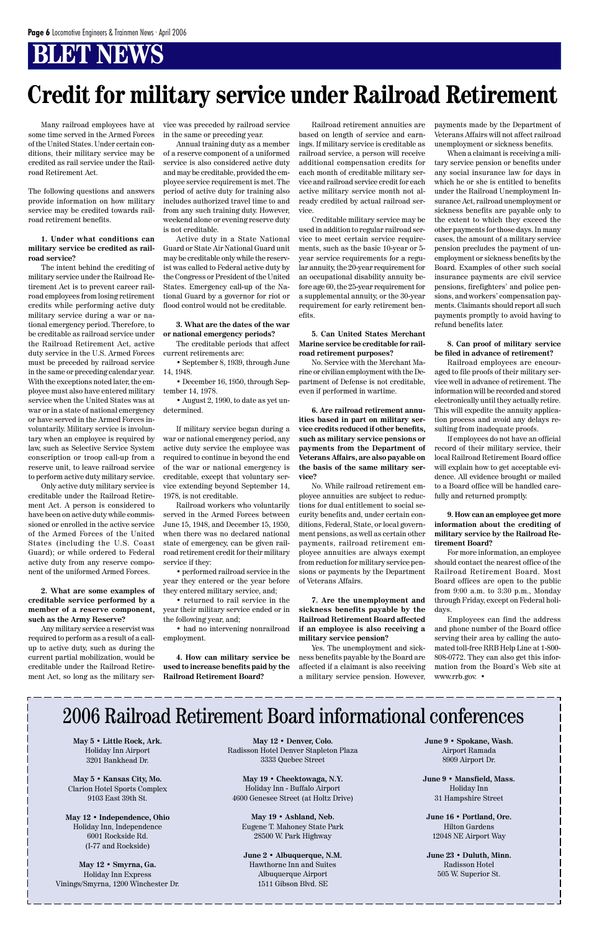### **BLET NEWS**

Many railroad employees have at some time served in the Armed Forces of the United States. Under certain conditions, their military service may be credited as rail service under the Railroad Retirement Act.

The following questions and answers provide information on how military service may be credited towards railroad retirement benefits.

#### **1. Under what conditions can military service be credited as railroad service?**

The intent behind the crediting of military service under the Railroad Retirement Act is to prevent career railroad employees from losing retirement credits while performing active duty military service during a war or national emergency period. Therefore, to be creditable as railroad service under the Railroad Retirement Act, active duty service in the U.S. Armed Forces must be preceded by railroad service in the same or preceding calendar year. With the exceptions noted later, the employee must also have entered military service when the United States was at war or in a state of national emergency or have served in the Armed Forces involuntarily. Military service is involuntary when an employee is required by law, such as Selective Service System conscription or troop call-up from a reserve unit, to leave railroad service to perform active duty military service.

Only active duty military service is creditable under the Railroad Retirement Act. A person is considered to have been on active duty while commissioned or enrolled in the active service of the Armed Forces of the United States (including the U.S. Coast Guard); or while ordered to Federal active duty from any reserve component of the uniformed Armed Forces.

**2. What are some examples of creditable service performed by a member of a reserve component, such as the Army Reserve?**

Any military service a reservist was required to perform as a result of a callup to active duty, such as during the current partial mobilization, would be creditable under the Railroad Retirement Act, so long as the military service was preceded by railroad service in the same or preceding year.

Annual training duty as a member of a reserve component of a uniformed service is also considered active duty and may be creditable, provided the employee service requirement is met. The period of active duty for training also includes authorized travel time to and from any such training duty. However, weekend alone or evening reserve duty is not creditable.

Active duty in a State National Guard or State Air National Guard unit may be creditable only while the reservist was called to Federal active duty by the Congress or President of the United States. Emergency call-up of the National Guard by a governor for riot or flood control would not be creditable.

#### **3. What are the dates of the war or national emergency periods?**

The creditable periods that affect current retirements are:

• September 8, 1939, through June 14, 1948.

• December 16, 1950, through September 14, 1978.

• August 2, 1990, to date as yet undetermined.

If military service began during a war or national emergency period, any active duty service the employee was required to continue in beyond the end of the war or national emergency is creditable, except that voluntary service extending beyond September 14, 1978, is not creditable.

Railroad workers who voluntarily served in the Armed Forces between June 15, 1948, and December 15, 1950, when there was no declared national state of emergency, can be given railroad retirement credit for their military service if they:

• performed railroad service in the year they entered or the year before they entered military service, and;

• returned to rail service in the year their military service ended or in the following year, and;

• had no intervening nonrailroad employment.

**4. How can military service be used to increase benefits paid by the Railroad Retirement Board?**

Railroad retirement annuities are based on length of service and earnings. If military service is creditable as railroad service, a person will receive additional compensation credits for each month of creditable military service and railroad service credit for each active military service month not already credited by actual railroad service.

Creditable military service may be used in addition to regular railroad service to meet certain service requirements, such as the basic 10-year or 5 year service requirements for a regular annuity, the 20-year requirement for an occupational disability annuity before age 60, the 25-year requirement for a supplemental annuity, or the 30-year requirement for early retirement benefits.

#### **5. Can United States Merchant Marine service be creditable for railroad retirement purposes?**

No. Service with the Merchant Marine or civilian employment with the Department of Defense is not creditable, even if performed in wartime.

**6. Are railroad retirement annuities based in part on military service credits reduced if other benefits, such as military service pensions or payments from the Department of Veterans Affairs, are also payable on the basis of the same military service?**

No. While railroad retirement employee annuities are subject to reductions for dual entitlement to social security benefits and, under certain conditions, Federal, State, or local government pensions, as well as certain other payments, railroad retirement employee annuities are always exempt from reduction for military service pensions or payments by the Department of Veterans Affairs.

#### **7. Are the unemployment and sickness benefits payable by the Railroad Retirement Board affected if an employee is also receiving a military service pension?**

Yes. The unemployment and sickness benefits payable by the Board are affected if a claimant is also receiving a military service pension. However, payments made by the Department of Veterans Affairs will not affect railroad unemployment or sickness benefits.

When a claimant is receiving a military service pension or benefits under any social insurance law for days in which he or she is entitled to benefits under the Railroad Unemployment Insurance Act, railroad unemployment or sickness benefits are payable only to the extent to which they exceed the other payments for those days. In many cases, the amount of a military service pension precludes the payment of unemployment or sickness benefits by the Board. Examples of other such social insurance payments are civil service pensions, firefighters' and police pensions, and workers' compensation payments. Claimants should report all such payments promptly to avoid having to refund benefits later.

#### **8. Can proof of military service be filed in advance of retirement?**

Railroad employees are encouraged to file proofs of their military service well in advance of retirement. The information will be recorded and stored electronically until they actually retire. This will expedite the annuity application process and avoid any delays resulting from inadequate proofs.

If employees do not have an official record of their military service, their local Railroad Retirement Board office will explain how to get acceptable evidence. All evidence brought or mailed to a Board office will be handled carefully and returned promptly.

#### **9. How can an employee get more information about the crediting of military service by the Railroad Retirement Board?**

For more information, an employee should contact the nearest office of the Railroad Retirement Board. Most Board offices are open to the public from 9:00 a.m. to 3:30 p.m., Monday through Friday, except on Federal holidays.

Employees can find the address and phone number of the Board office serving their area by calling the automated toll-free RRB Help Line at 1-800- 808-0772. They can also get this information from the Board's Web site at www.rrb.gov. •

**May 5 • Little Rock, Ark.** Holiday Inn Airport 3201 Bankhead Dr.

**May 5 • Kansas City, Mo.** Clarion Hotel Sports Complex 9103 East 39th St.

**May 12 • Independence, Ohio** Holiday Inn, Independence 6001 Rockside Rd. (I-77 and Rockside)

**May 12 • Smyrna, Ga.** Holiday Inn Express Vinings/Smyrna, 1200 Winchester Dr.

**May 12 • Denver, Colo.** Radisson Hotel Denver Stapleton Plaza 3333 Quebec Street

**May 19 • Cheektowaga, N.Y.** Holiday Inn - Buffalo Airport 4600 Genesee Street (at Holtz Drive)

**May 19 • Ashland, Neb.** Eugene T. Mahoney State Park 28500 W. Park Highway

**June 2 • Albuquerque, N.M.** Hawthorne Inn and Suites Albuquerque Airport 1511 Gibson Blvd. SE

**June 9 • Spokane, Wash.** Airport Ramada 8909 Airport Dr.

**June 9 • Mansfield, Mass.** Holiday Inn 31 Hampshire Street

**June 16 • Portland, Ore.** Hilton Gardens 12048 NE Airport Way

**June 23 • Duluth, Minn.** Radisson Hotel 505 W. Superior St.

### 2006 Railroad Retirement Board informational conferences

# **Credit for military service under Railroad Retirement**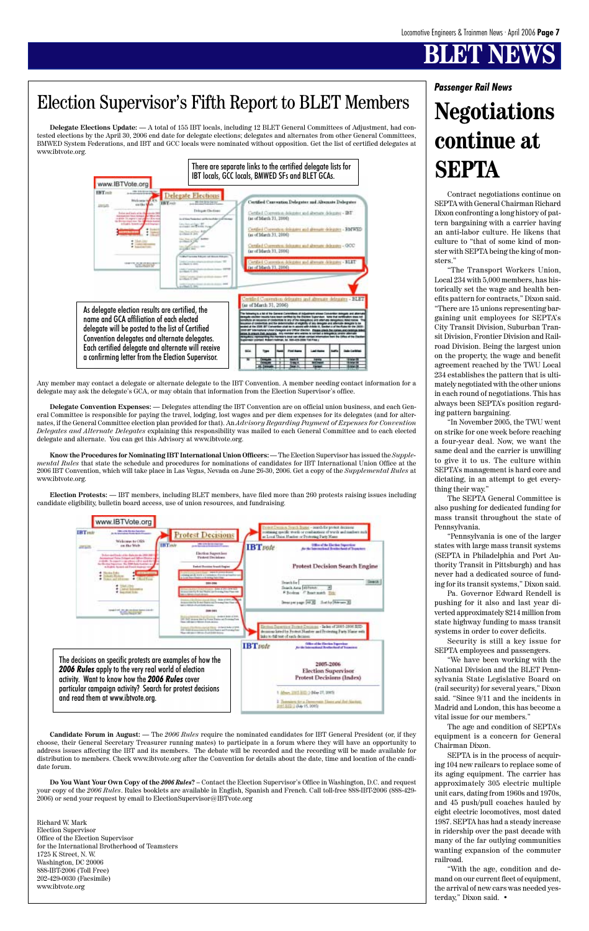# **BLEVISK**

Contract negotiations continue on SEPTA with General Chairman Richard Dixon confronting a long history of pattern bargaining with a carrier having an anti-labor culture. He likens that culture to "that of some kind of monster with SEPTA being the king of monsters."

"The Transport Workers Union, Local 234 with 5,000 members, has historically set the wage and health benefits pattern for contracts," Dixon said. "There are 15 unions representing bargaining unit employees for SEPTA's City Transit Division, Suburban Transit Division, Frontier Division and Railroad Division. Being the largest union on the property, the wage and benefit agreement reached by the TWU Local 234 establishes the pattern that is ultimately negotiated with the other unions in each round of negotiations. This has always been SEPTA's position regarding pattern bargaining.

"In November 2005, the TWU went on strike for one week before reaching a four-year deal. Now, we want the same deal and the carrier is unwilling to give it to us. The culture within SEPTA's management is hard core and dictating, in an attempt to get everything their way."

The SEPTA General Committee is also pushing for dedicated funding for mass transit throughout the state of Pennsylvania.

"Pennsylvania is one of the larger states with large mass transit systems (SEPTA in Philadelphia and Port Authority Transit in Pittsburgh) and has never had a dedicated source of funding for its transit systems," Dixon said.

Pa. Governor Edward Rendell is pushing for it also and last year diverted approximately \$214 million from state highway funding to mass transit systems in order to cover deficits.

Security is still a key issue for SEPTA employees and passengers.

"We have been working with the National Division and the BLET Pennsylvania State Legislative Board on

(rail security) for several years," Dixon said. "Since 9/11 and the incidents in Madrid and London, this has become a vital issue for our members."

The age and condition of SEPTA's equipment is a concern for General Chairman Dixon.

SEPTA is in the process of acquiring 104 new railcars to replace some of its aging equipment. The carrier has approximately 305 electric multiple unit cars, dating from 1960s and 1970s, and 45 push/pull coaches hauled by eight electric locomotives, most dated 1987. SEPTA has had a steady increase in ridership over the past decade with many of the far outlying communities wanting expansion of the commuter railroad.

"With the age, condition and demand on our current fleet of equipment. the arrival of new cars was needed yesterday," Dixon said. •

**Delegate Elections Update: —** A total of 155 IBT locals, including 12 BLET General Committees of Adjustment, had contested elections by the April 30, 2006 end date for delegate elections; delegates and alternates from other General Committees, BMWED System Federations, and IBT and GCC locals were nominated without opposition. Get the list of certified delegates at www.ibtvote.org.

Any member may contact a delegate or alternate delegate to the IBT Convention. A member needing contact information for a delegate may ask the delegate's GCA, or may obtain that information from the Election Supervisor's office.

**Delegate Convention Expenses: —** Delegates attending the IBT Convention are on official union business, and each General Committee is responsible for paying the travel, lodging, lost wages and per diem expenses for its delegates (and for alternates, if the General Committee election plan provided for that). An *Advisory Regarding Payment of Expenses for Convention Delegates and Alternate Delegates* explaining this responsibility was mailed to each General Committee and to each elected delegate and alternate. You can get this Advisory at www.ibtvote.org.

**Know the Procedures for Nominating IBT International Union Officers:—** The Election Supervisor has issued the *Supplemental Rules* that state the schedule and procedures for nominations of candidates for IBT International Union Office at the 2006 IBT Convention, which will take place in Las Vegas, Nevada on June 26-30, 2006. Get a copy of the *Supplemental Rules* at www.ibtvote.org.

**Election Protests: —** IBT members, including BLET members, have filed more than 260 protests raising issues including candidate eligibility, bulletin board access, use of union resources, and fundraising.

**Candidate Forum in August: —** The *2006 Rules* require the nominated candidates for IBT General President (or, if they choose, their General Secretary Treasurer running mates) to participate in a forum where they will have an opportunity to address issues affecting the IBT and its members. The debate will be recorded and the recording will be made available for distribution to members. Check www.ibtvote.org after the Convention for details about the date, time and location of the candidate forum.

**Do You Want Your Own Copy of the** *2006 Rules***? –** Contact the Election Supervisor's Office in Washington, D.C. and request your copy of the *2006 Rules*. Rules booklets are available in English, Spanish and French. Call toll-free 888-IBT-2006 (888-429- 2006) or send your request by email to ElectionSupervisor@IBTvote.org

Richard W. Mark Election Supervisor Office of the Election Supervisor for the International Brotherhood of Teamsters 1725 K Street, N. W. Washington, DC 20006 888-IBT-2006 (Toll Free) 202-429-0030 (Facsimile) www.ibtvote.org





particular campaign activity? Search for protest decisions and read them at www.ibtvote.org.

1 Abso.2015.012 3 OAw 27, 2023 3. 25 - Jan Struck Democratic Director of Art Northell<br>- - 1 Still - (Rey 15, 2002)

### Election Supervisor's Fifth Report to BLET Members

## *Passenger Rail News* **Negotiations continue at SEPTA**